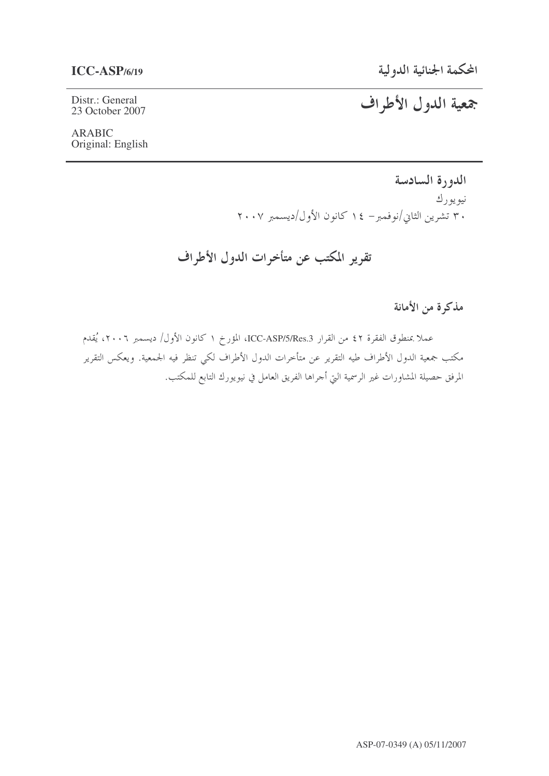المحكمة الجنائية الدولية

Distr.: General 23 October 2007

# جمعية الدول الأطراف

### **ARABIC** Original: English

الدورة السادسة نيويورك ۳۰ تشرین الثاني/نوفمبر– ۱٤ کانون الأول/دیسمبر ۲۰۰۷

تقرير المكتب عن متأخرات الدول الأطراف

مذكرة من الأمانة

عملا بمنطوق الفقرة ٤٢ من القرار ICC-ASP/5/Res.3، المؤرخ ١ كانون الأول/ ديسمبر ٢٠٠٦، يُقدم مكتب جمعية الدول الأطراف طيه التقرير عن متأخرات الدول الأطراف لكي تنظر فيه الجمعية. ويعكس التقرير المرفق حصيلة المشاورات غير الرسمية التي أحراها الفريق العامل في نيويورك التابع للمكتب.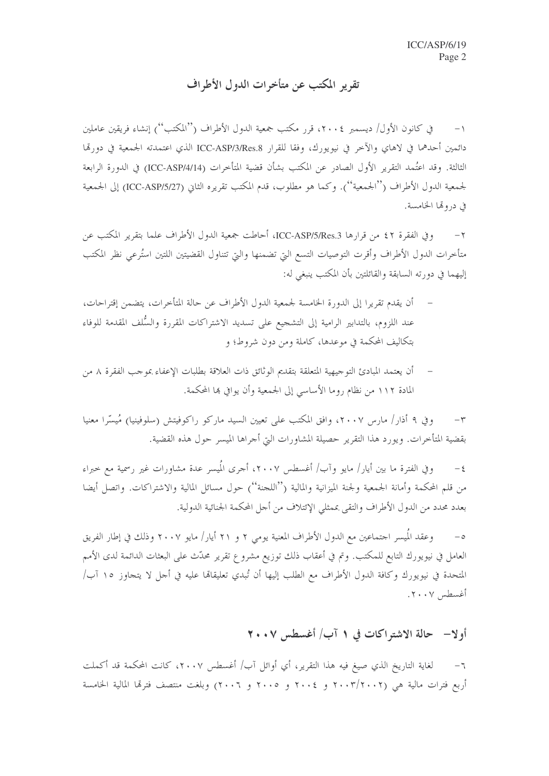## تقرير المكتب عن متأخرات الدول الأطراف

في كانون الأول/ ديسمبر ٢٠٠٤، قرر مكتب جمعية الدول الأطراف (''المكتب'') إنشاء فريقين عاملين  $-1$ دائمين أحدهما في لاهاي والآخر في نيويورك، وفقا للقرار ICC-ASP/3/Res.8 الذي اعتمدته الجمعية في دورتما الثالثة. وقد اعتُمد التقرير الأول الصادر عن المكتب بشأن قضية المتأخرات (ICC-ASP/4/14) في الدورة الرابعة لجمعية الدول الأطراف (''الجمعية''). وكما هو مطلوب، قدم المكتب تقريره الثاين (ICC-ASP/5/27) إلى الجمعية في دروتما الخامسة.

وفي الفقرة ٤٢ من قرارها ICC-ASP/5/Res.3، أحاطت جمعية الدول الأطراف علما بتقرير المكتب عن  $-\tau$ متأخرات الدول الأطراف وأقرت التوصيات التسع التي تضمنها والتي تتناول القضيتين اللتين استُرعى نظر المكتب إليهما في دورته السابقة والقائلتين بأن المكتب ينبغي له:

- أن يقدم تقريرا إلى الدورة الخامسة لجمعية الدول الأطراف عن حالة المتأخرات، يتضمن إقتراحات، عند اللزوم، بالتدابير الرامية إلى التشجيع على تسديد الاشتراكات المقررة والسُّلف المقدمة للوفاء بتكاليف المحكمة في موعدها، كاملة ومن دون شروط؛ و
- أن يعتمد المبادئ التوجيهية المتعلقة بتقديم الوثائق ذات العلاقة بطلبات الإعفاء بموجب الفقرة ٨ من المادة ١١٢ من نظام روما الأساسي إلى الجمعية وأن يوافي هما المحكمة.

وفي ٩ أذار/ مارس ٢٠٠٧، وافق المكتب على تعيين السيد ماركو راكوفيتش (سلوفينيا) مُيسِّرا معنيا  $-\tau$ بقضية المتأخرات. ويورد هذا التقرير حصيلة المشاورات التي أجراها الميسر حول هذه القضية.

وفي الفترة ما بين أيار/ مايو وآب/ أغسطس ٢٠٠٧، أجرى المُيسر عدة مشاورات غير رسمية مع حيراء  $-\xi$ من قلم المحكمة وأمانة الجمعية ولجنة الميزانية والمالية (''اللجنة'') حول مسائل المالية والاشتراكات. واتصل أيضا بعدد محدد من الدول الأطراف والتقى بممثلي الإئتلاف من أجل المحكمة الجنائية الدولية.

وعقد المُيسر احتماعين مع الدول الأطراف المعنية يومي ٢ و ٢١ أيار/ مايو ٢٠٠٧ وذلك في إطار الفريق  $-\circ$ العامل في نيويورك التابع للمكتب. وتم في أعقاب ذلك توزيع مشروع تقرير محدّث على البعثات الدائمة لدى الأمم المتحدة في نيويورك وكافة الدول الأطراف مع الطلب إليها أن تُبدي تعليقاتما عليه في أجل لا يتجاوز ١٥ آب/ أغسطس ٢٠٠٧.

## أولا– حالة الاشتراكات في ١ آب/ أغسطس ٢٠٠٧

لغاية التاريخ الذي صيغ فيه هذا التقرير، أي أوائل آب/ أغسطس ٢٠٠٧، كانت المحكمة قد أكملت  $-7$ أربع فترات مالية هي (٢٠٠٣/٢٠٠٢ و ٢٠٠٤ و ٢٠٠٥ و ٢٠٠٦) وبلغت منتصف فترقما المالية الخامسة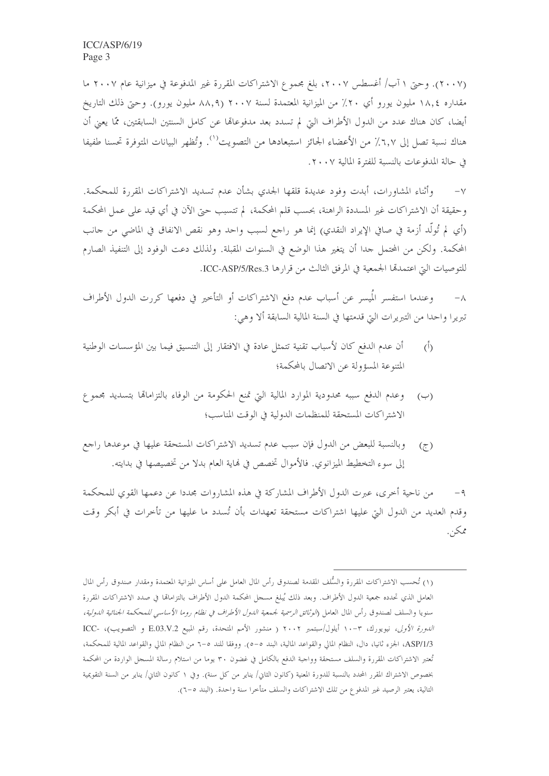(٢٠٠٧). وحتى ١ آب/ أغسطس ٢٠٠٧، بلغ مجموع الاشتراكات المقررة غير المدفوعة في ميزانية عام ٢٠٠٧ ما مقداره ١٨,٤ مليون يورو أي ٢٠٪ من الميزانية المعتمدة لسنة ٢٠٠٧ (٨٨,٩ مليون يورو). وحتى ذلك التاريخ أيضا، كان هناك عدد من الدول الأطراف التي لم تسدد بعد مدفوعالها عن كامل السنتين السابقتين، ممَّا يعني أن هناك نسبة تصل إلى ٦,٧٪ من الأعضاء الجائز استبعادها من التصويت''. وتُظهر البيانات المتوفرة تحسنا طفيفا في حالة المدفوعات بالنسبة للفترة المالية ٢٠٠٧.

وأثناء المشاورات، أبدت وفود عديدة قلقها الجدي بشأن عدم تسديد الاشتراكات المقررة للمحكمة.  $-\vee$ وحقيقة أن الاشتراكات غير المسددة الراهنة، بحسب قلم المحكمة، لم تتسبب حتى الآن في أي قيد على عمل المحكمة (أي لم تُولَّد أزمة في صافي الإيراد النقدي) إنما هو راجع لسبب واحد وهو نقص الانفاق في الماضي من حانب المحكمة. ولكن من المحتمل جدا أن يتغير هذا الوضع في السنوات المقبلة. ولذلك دعت الوفود إلى التنفيذ الصارم للتوصيات التي اعتمدتها الجمعية في المرفق الثالث من قرارها ICC-ASP/5/Res.3.

وعندما استفسر المُيسر عن أسباب عدم دفع الاشتراكات أو التأخير في دفعها كررت الدول الأطراف  $-\lambda$ تبريرا واحدا من التبريرات التي قدمتها في السنة المالية السابقة ألا وهي:

- أن عدم الدفع كان لأسباب تقنية تتمثل عادة في الافتقار إلى التنسيق فيما بين المؤسسات الوطنية  $\dot{(\mathfrak{h})}$ المتنوعة المسؤولة عن الاتصال بالمحكمة؛
- وعدم الدفع سببه محدودية الموارد المالية التي تمنع الحكومة من الوفاء بالتزاماقما بتسديد مجموع  $(\hookrightarrow)$ الاشتراكات المستحقة للمنظمات الدولية في الوقت المناسب؛
- وبالنسبة للبعض من الدول فإن سبب عدم تسديد الاشتراكات المستحقة عليها في موعدها راجع  $(7)$ إلى سوء التخطيط الميزانوي. فالأموال تخصص في نماية العام بدلا من تخصيصها في بدايته.

من ناحية أخرى، عبرت الدول الأطراف المشاركة في هذه المشاروات مجددا عن دعمها القوى للمحكمة  $-9$ وقدم العديد من الدول التي عليها اشتراكات مستحقة تعهدات بأن تُسدد ما عليها من تأخرات في أبكر وقت ممكن.

<sup>(</sup>١) تُحسب الاشتراكات المقررة والسُّلف المقدمة لصندوق رأس المال العامل على أساس الميزانية المعتمدة ومقدار صندوق رأس المال العامل الذي تحدده جمعية الدول الأطراف. وبعد ذلك يُبلغ مسحل المحكمة الدول الأطراف بالتزامالها في صدد الاشتراكات المقررة سنويا والسلف لصندوق رأس المال العامل (*الوثائق الرسمية لجمعية الدول الأطراف في نظام روما الأساسي للمحكمة الجنائية الدولية،* الدورة الأولى، نيويورك، ٣-١٠ أيلول/سبتمبر ٢٠٠٢ ( منشور الأمم المتحدة، رقم المبيع E.03.V.2 و التصويب)، -ICC ASP/1/3، الجزء ثانيا، دال، النظام المالي والقواعد المالية، البند ٥–٥). ووفقا للند ٥–٦ من النظام المالي والقواعد المالية للمحكمة، تُعتبر الاشتراكات المقررة والسلف مستحقة وواجبة الدفع بالكامل في غضون ٣٠ يوما من استلام رسالة المسحل الواردة من المحكمة بخصوص الاشتراك المقرر المحدد بالنسبة للدورة المعنية (كانون الثاني/ يناير من كل سنة). وفي ١ كانون الثاني/ يناير من السنة التقويمية التالية، يعتبر الرصيد غير المدفوع من تلك الاشتراكات والسلف متأخرا سنة واحدة. (البند ٥–٦).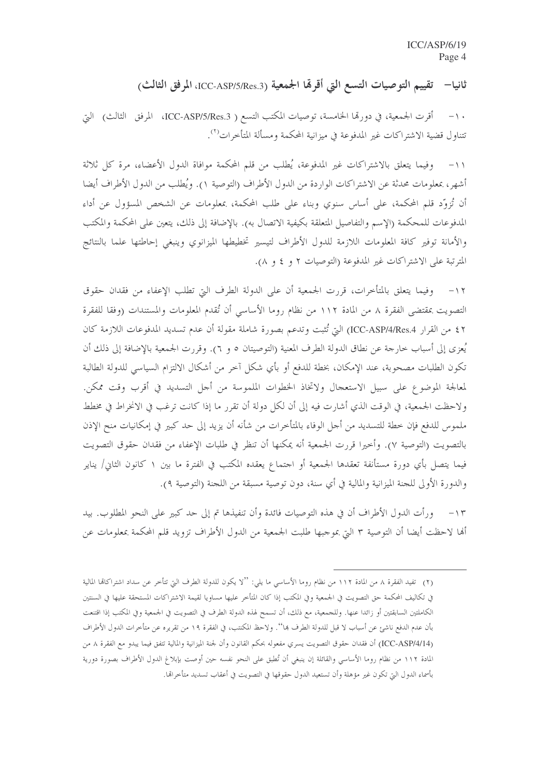ثانيا— تقييم التوصيات التسع التي أقرِها الجمعية (ICC-ASP/5/Res.3)، المرفق الثالث)

١٠– أقرت الجمعية، في دورتما الخامسة، توصيات المكتب التسع ( ICC-ASP/5/Res.3، المرفق الثالث) التي تتناول قضية الاشتراكات غير المدفوعة في ميزانية المحكمة ومسألة المتأخرات<sup>(٢)</sup>.

١١– وفيما يتعلق بالاشتراكات غير المدفوعة، يُطلب من قلم المحكمة موافاة الدول الأعضاء، مرة كل ثلاثة أشهر، بمعلومات محدثة عن الاشتراكات الواردة من الدول الأطراف (التوصية ١). ويُطلب من الدول الأطراف أيضا أن تُزوّد قلم المحكمة، على أساس سنوي وبناء على طلب المحكمة، بمعلومات عن الشخص المسؤول عن أداء المدفوعات للمحكمة (الإسم والتفاصيل المتعلقة بكيفية الاتصال به). بالإضافة إلى ذلك، يتعين على المحكمة والمكتب والأمانة توفير كافة المعلومات اللازمة للدول الأطراف لتيسير تخطيطها الميزانوي وينبغي إحاطتها علما بالنتائج المترتبة على الاشتراكات غير المدفوعة (التوصيات ٢ و ٤ و ٨).

١٢– وفيما يتعلق بالمتأخرات، قررت الجمعية أن على الدولة الطرف التي تطلب الإعفاء من فقدان حقوق التصويت .ممقتضى الفقرة ٨ من المادة ١١٢ من نظام روما الأساسي أن تُقدم المعلومات والمستندات (وفقا للفقرة ٤٢ من القرار ICC-ASP/4/Res.4) التي تُثبت وتدعم بصورة شاملة مقولة أن عدم تسديد المدفوعات اللازمة كان يُعزى إلى أسباب حارجة عن نطاق الدولة الطرف المعنية (التوصيتان ٥ و ٦). وقررت الجمعية بالإضافة إلى ذلك أن تكون الطلبات مصحوبة، عند الإمكان، بخطة للدفع أو بأي شكل آخر من أشكال الالتزام السياسي للدولة الطالبة لمعالجة الموضوع على سبيل الاستعجال ولاتخاذ الخطوات الملموسة من أجل التسديد في أقرب وقت ممكن. ولاحظت الجمعية، في الوقت الذي أشارت فيه إلى أن لكلِّ دولة أن تقرر ما إذا كانت ترغب في الانخراط في مخطط ملموس للدفع فإن خطة للتسديد من أجل الوفاء بالمتأخرات من شأنه أن يزيد إلى حد كبير في إمكانيات منح الإذن بالتصويت (التوصية ٧). وأخيرا قررت الجمعية أنه يمكنها أن تنظر في طلبات الإعفاء من فقدان حقوق التصويت فيما يتصل بأي دورة مستأنفة تعقدها الجمعية أو احتماع يعقده المكتب في الفترة ما بين ١ كانون الثاني/ يناير والدورة الأولى للجنة الميزانية والمالية في أي سنة، دون توصية مسبقة من اللجنة (التوصية ٩).

ورأت الدول الأطراف أن في هذه التوصيات فائدة وأن تنفيذها تم إلى حد كبير على النحو المطلوب. بيد  $-\gamma r$ ألها لاحظت أيضا أن التوصية ٣ التي بموجبها طلبت الجمعية من الدول الأطراف تزويد قلم المحكمة بمعلومات عن

<sup>(</sup>٢) تفيد الفقرة ٨ من المادة ١١٢ من نظام روما الأساسي ما يلي: ''لا يكون للدولة الطرف التي تتأخر عن سداد اشتراكاقا المالية في تكاليف المحكمة حق التصويت في الجمعية وفي المكتب إذا كان المتأخر عليها مساويا لقيمة الاشتراكات المستحقة عليها في السنتين الكاملتين السابقتين أو زائدا عنها. وللجمعية، مع ذلك، أن تسمح لهذه الدولة الطرف في التصويت في الجمعية وفي المكتب إذا اقتنعت بأن عدم الدفع ناشئ عن أسباب لا قبل للدولة الطرف بما''. ولاحظ المكنتب، في الفقرة ١٩ من تقريره عن متأخرات الدول الأطراف (ICC-ASP/4/14) أن فقدان حقوق التصويت يسري مفعوله بحكم القانون وأن لجنة الميزانية والمالية تتفق فيما يبدو مع الفقرة ٨ من المادة ١١٢ من نظام روما الأساسي والقائلة إن ينبغي أن تُطبق على النحو نفسه حين أوصت بإبلاغ الدول الأطراف بصورة دورية بأسماء الدول التي تكون غير مؤهلة وأن تستعيد الدول حقوقها في التصويت في أعقاب تسديد متأخراقما.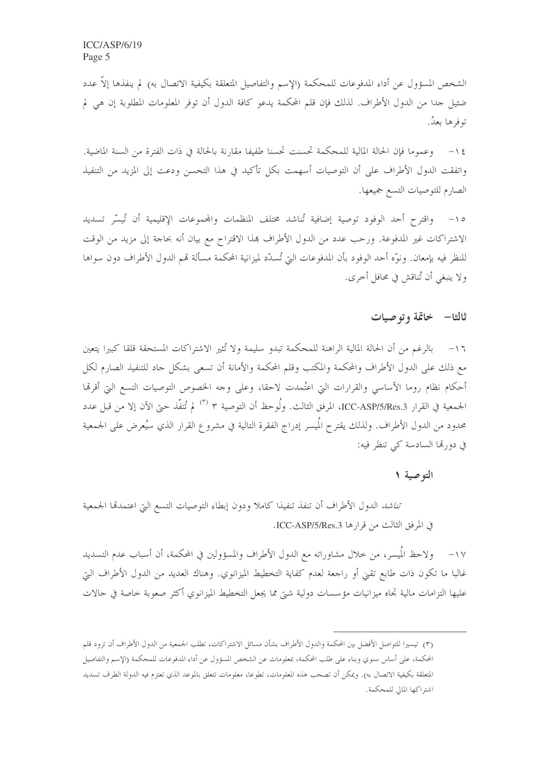الشخص المسؤول عن أداء المدفوعات للمحكمة (الإسم والتفاصيل المتعلقة بكيفية الاتصال به) لم ينفذها إلاّ عدد ضئيل حدا من الدول الأطراف. لذلك فإن قلم المحكمة يدعو كافة الدول أن توفر المعلومات المطلوبة إن هي لم توفرها بعدُ.

١٤ – وعموما فإن الحالة المالية للمحكمة تحسنت تحسنا طفيفا مقارنة بالحالة في ذات الفترة من السنة الماضية. واتفقت الدول الأطراف على أن التوصيات أسهمت بكل تأكيد في هذا التحسن ودعت إلى المزيد من التنفيذ الصارم للتوصيات التسع جميعها.

واقترح أحد الوفود توصية إضافية تُناشد مختلف المنظمات والمحموعات الإقليمية أن تُيسّر تسديد  $-\iota$ الاشتراكات غير المدفوعة. ورحب عدد من الدول الأطراف بمذا الاقتراح مع بيان أنه بحاجة إلى مزيد من الوقت للنظر فيه بإمعان. ونوَّه أحد الوفود بأن المدفوعات التيّ تُسدَّد لميزانية المحكمة مسألة قمم الدول الأطراف دون سواها ولا ينبغي أن تُناقش في محافل أحرى.

### ثالثا— خاتمة وتوصيات

١٦- بالرغم من أن الحالة المالية الراهنة للمحكمة تبدو سليمة ولا تُثير الاشتراكات المستحقة قلقا كبيرا يتعين مع ذلك على الدول الأطراف والمحكمة والمكتب وقلم المحكمة والأمانة أن تسعى بشكل جاد للتنفيذ الصارم لكل أحكام نظام روما الأساسي والقرارات التي اعتُمدت لاحقا، وعلى وجه الخصوص التوصيات التسع التي أقرقما الجمعية في القرار ICC-ASP/5/Res.3، المرفق الثالث. ولُوحظ أن التوصية ٣ <sup>(٣)</sup> لم تُتفَّذ حتى الآن إلا من قبل عدد محدود من الدول الأطراف. ولذلك يقترح المُيسر إدراج الفقرة التالية في مشروع القرار الذي سيُعرض على الجمعية في دورتما السادسة كي تنظر فيه:

#### التوصية ١

ت*ناشد* الدول الأطراف أن تنفذ تنفيذا كاملا ودون إبطاء التوصيات التسع التي اعتمدها الجمعية في المرفق الثالث من قرارها ICC-ASP/5/Res.3.

ولاحظ المُيسر، من خلال مشاوراته مع الدول الأطراف والمسؤولين في المحكمة، أن أسباب عدم التسديد  $-\frac{1}{\sqrt{2}}$ غالبا ما تكون ذات طابع تقيّ أو راجعة لعدم كفاية التخطيط الميزانوي. وهناك العديد من الدول الأطراف التي عليها التزامات مالية تجاه ميزانيات مؤسسات دولية شيّ مما يجعل التخطيط الميزانوي أكثر صعوبة خاصة في حالات

<sup>(</sup>٣) تيسيرا للتواصل الأفضل بين المحكمة والدول الأطراف بشأن مسائل الاشتراكات، تطلب الجمعية من الدول الأطراف أن تزود قلم المحكمة، على أساس سنوي وبناء على طلب المحكمة، بمعلومات عن الشخص المسؤول عن أداء المدفوعات للمحكمة (الإسم والتفاصيل المتعلقة بكيفية الاتصال به). ويمكن أن تصحب هذه المعلومات، تطوعا، معلومات تتعلق بالموعد الذي تعتزم فيه الدولة الطرف تسديد اشتراكها المالي للمحكمة.